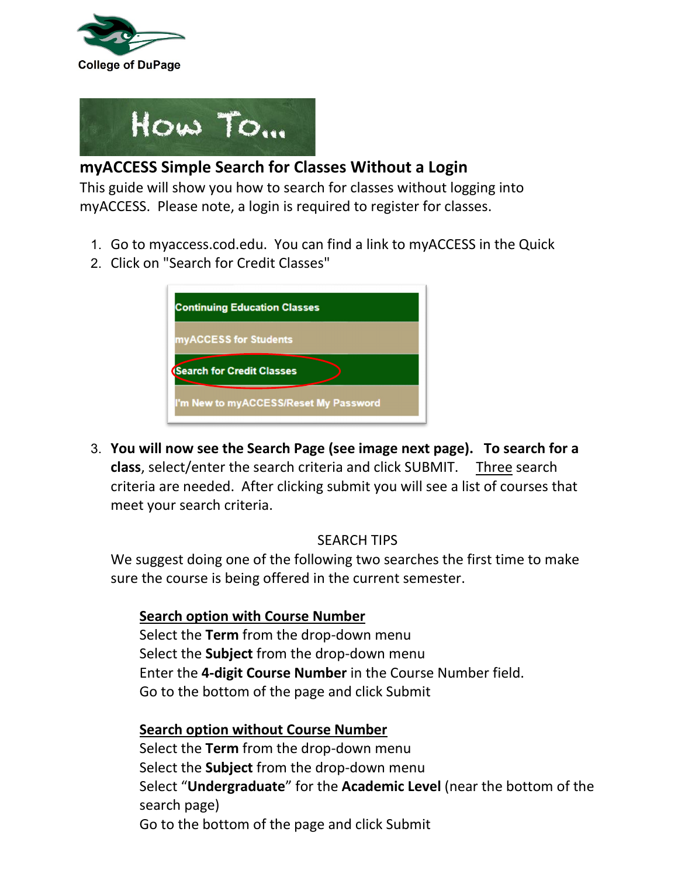



# **myACCESS Simple Search for Classes Without a Login**

This guide will show you how to search for classes without logging into myACCESS. Please note, a login is required to register for classes.

- 1. Go to myaccess.cod.edu. You can find a link to myACCESS in the Quick
- 2. Click on "Search for Credit Classes"

| <b>Continuing Education Classes</b>   |  |
|---------------------------------------|--|
| myACCESS for Students                 |  |
| <b>(Search for Credit Classes</b>     |  |
| I'm New to myACCESS/Reset My Password |  |

3. **You will now see the Search Page (see image next page). To search for a class**, select/enter the search criteria and click SUBMIT. Three search criteria are needed. After clicking submit you will see a list of courses that meet your search criteria.

## SEARCH TIPS

We suggest doing one of the following two searches the first time to make sure the course is being offered in the current semester.

## **Search option with Course Number**

Select the **Term** from the drop-down menu Select the **Subject** from the drop-down menu Enter the **4-digit Course Number** in the Course Number field. Go to the bottom of the page and click Submit

## **Search option without Course Number**

Select the **Term** from the drop-down menu Select the **Subject** from the drop-down menu Select "**Undergraduate**" for the **Academic Level** (near the bottom of the search page) Go to the bottom of the page and click Submit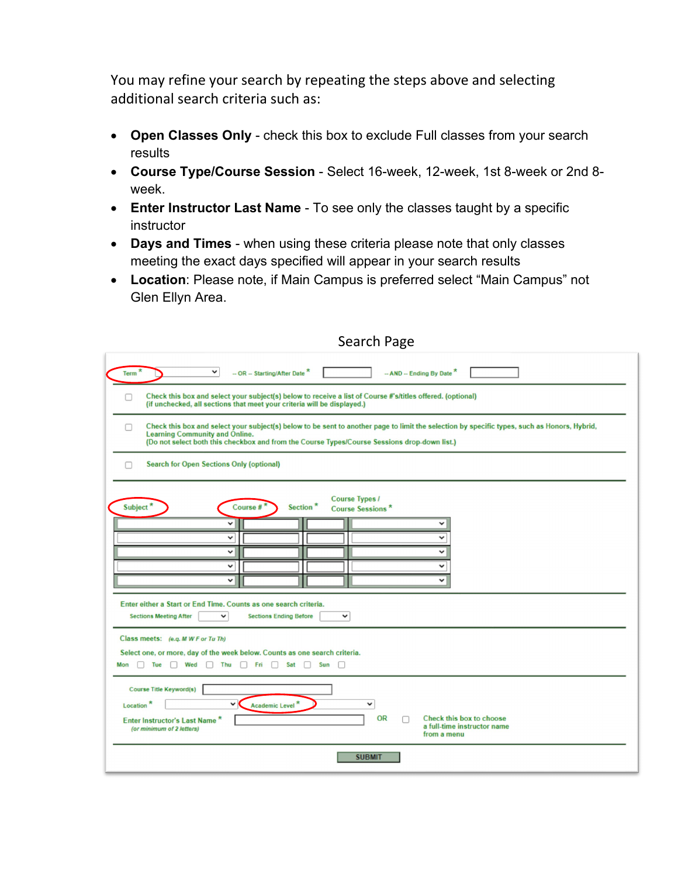You may refine your search by repeating the steps above and selecting additional search criteria such as:

- **Open Classes Only** check this box to exclude Full classes from your search results
- **Course Type/Course Session** Select 16-week, 12-week, 1st 8-week or 2nd 8 week.
- **Enter Instructor Last Name** To see only the classes taught by a specific instructor
- **Days and Times**  when using these criteria please note that only classes meeting the exact days specified will appear in your search results
- **Location**: Please note, if Main Campus is preferred select "Main Campus" not Glen Ellyn Area.

| ີ                                                                                                                                                                                                                                                                                                                                                                                                                                                                                                                                                                                       |  |  |  |  |  |  |  |  |  |
|-----------------------------------------------------------------------------------------------------------------------------------------------------------------------------------------------------------------------------------------------------------------------------------------------------------------------------------------------------------------------------------------------------------------------------------------------------------------------------------------------------------------------------------------------------------------------------------------|--|--|--|--|--|--|--|--|--|
| $\check{ }$<br>$-$ OR $-$ Starting/After Date $*$<br>-- AND -- Ending By Date *<br>Term                                                                                                                                                                                                                                                                                                                                                                                                                                                                                                 |  |  |  |  |  |  |  |  |  |
| Check this box and select your subject(s) below to receive a list of Course #'s/titles offered. (optional)<br>(if unchecked, all sections that meet your criteria will be displayed.)                                                                                                                                                                                                                                                                                                                                                                                                   |  |  |  |  |  |  |  |  |  |
| Check this box and select your subject(s) below to be sent to another page to limit the selection by specific types, such as Honors, Hybrid,<br><b>Learning Community and Online.</b><br>(Do not select both this checkbox and from the Course Types/Course Sessions drop-down list.)                                                                                                                                                                                                                                                                                                   |  |  |  |  |  |  |  |  |  |
| <b>Search for Open Sections Only (optional)</b><br>п                                                                                                                                                                                                                                                                                                                                                                                                                                                                                                                                    |  |  |  |  |  |  |  |  |  |
| <b>Course Types /</b><br>Subject*<br>Section*<br>Course #<br><b>Course Sessions*</b><br>$\check{ }$<br>v<br>v<br>$\check{ }$<br>$\checkmark$<br>v<br>$\checkmark$<br>$\checkmark$<br>$\check{ }$<br>$\checkmark$<br>Enter either a Start or End Time. Counts as one search criteria.<br><b>Sections Meeting After</b><br><b>Sections Ending Before</b><br>$\check{ }$<br>$\checkmark$<br>Class meets: (e.g. M W F or Tu Th)<br>Select one, or more, day of the week below. Counts as one search criteria.<br>Tue<br>Wed $\Box$ Thu $\Box$ Fri $\Box$ Sat $\Box$ Sun $\Box$<br>Mon<br>n. |  |  |  |  |  |  |  |  |  |
| <b>Course Title Keyword(s)</b><br>Location <sup>*</sup><br>$\checkmark$<br>Academic Level <sup>*</sup><br>v<br><b>OR</b><br><b>Check this box to choose</b><br>Enter Instructor's Last Name*<br>a full-time instructor name<br>(or minimum of 2 letters)<br>from a menu                                                                                                                                                                                                                                                                                                                 |  |  |  |  |  |  |  |  |  |
| <b>SUBMIT</b>                                                                                                                                                                                                                                                                                                                                                                                                                                                                                                                                                                           |  |  |  |  |  |  |  |  |  |

### Search Page